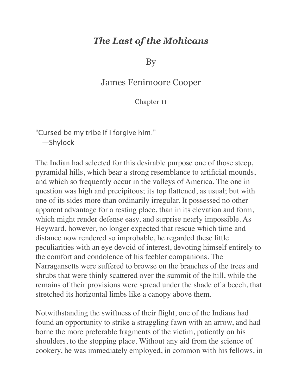## *The Last of the Mohicans*

By

## James Fenimoore Cooper

## Chapter 11

"Cursed be my tribe If I forgive him." —Shylock

The Indian had selected for this desirable purpose one of those steep, pyramidal hills, which bear a strong resemblance to artificial mounds, and which so frequently occur in the valleys of America. The one in question was high and precipitous; its top flattened, as usual; but with one of its sides more than ordinarily irregular. It possessed no other apparent advantage for a resting place, than in its elevation and form, which might render defense easy, and surprise nearly impossible. As Heyward, however, no longer expected that rescue which time and distance now rendered so improbable, he regarded these little peculiarities with an eye devoid of interest, devoting himself entirely to the comfort and condolence of his feebler companions. The Narragansetts were suffered to browse on the branches of the trees and shrubs that were thinly scattered over the summit of the hill, while the remains of their provisions were spread under the shade of a beech, that stretched its horizontal limbs like a canopy above them.

Notwithstanding the swiftness of their flight, one of the Indians had found an opportunity to strike a straggling fawn with an arrow, and had borne the more preferable fragments of the victim, patiently on his shoulders, to the stopping place. Without any aid from the science of cookery, he was immediately employed, in common with his fellows, in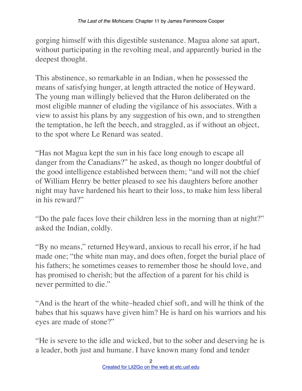gorging himself with this digestible sustenance. Magua alone sat apart, without participating in the revolting meal, and apparently buried in the deepest thought.

This abstinence, so remarkable in an Indian, when he possessed the means of satisfying hunger, at length attracted the notice of Heyward. The young man willingly believed that the Huron deliberated on the most eligible manner of eluding the vigilance of his associates. With a view to assist his plans by any suggestion of his own, and to strengthen the temptation, he left the beech, and straggled, as if without an object, to the spot where Le Renard was seated.

"Has not Magua kept the sun in his face long enough to escape all danger from the Canadians?" he asked, as though no longer doubtful of the good intelligence established between them; "and will not the chief of William Henry be better pleased to see his daughters before another night may have hardened his heart to their loss, to make him less liberal in his reward?"

"Do the pale faces love their children less in the morning than at night?" asked the Indian, coldly.

"By no means," returned Heyward, anxious to recall his error, if he had made one; "the white man may, and does often, forget the burial place of his fathers; he sometimes ceases to remember those he should love, and has promised to cherish; but the affection of a parent for his child is never permitted to die."

"And is the heart of the white–headed chief soft, and will he think of the babes that his squaws have given him? He is hard on his warriors and his eyes are made of stone?"

"He is severe to the idle and wicked, but to the sober and deserving he is a leader, both just and humane. I have known many fond and tender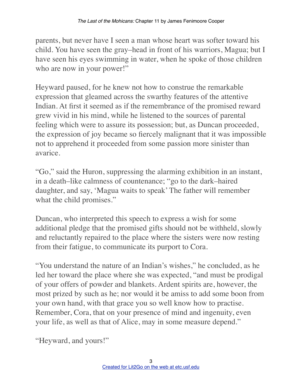parents, but never have I seen a man whose heart was softer toward his child. You have seen the gray–head in front of his warriors, Magua; but I have seen his eyes swimming in water, when he spoke of those children who are now in your power!"

Heyward paused, for he knew not how to construe the remarkable expression that gleamed across the swarthy features of the attentive Indian. At first it seemed as if the remembrance of the promised reward grew vivid in his mind, while he listened to the sources of parental feeling which were to assure its possession; but, as Duncan proceeded, the expression of joy became so fiercely malignant that it was impossible not to apprehend it proceeded from some passion more sinister than avarice.

"Go," said the Huron, suppressing the alarming exhibition in an instant, in a death–like calmness of countenance; "go to the dark–haired daughter, and say, 'Magua waits to speak' The father will remember what the child promises."

Duncan, who interpreted this speech to express a wish for some additional pledge that the promised gifts should not be withheld, slowly and reluctantly repaired to the place where the sisters were now resting from their fatigue, to communicate its purport to Cora.

"You understand the nature of an Indian's wishes," he concluded, as he led her toward the place where she was expected, "and must be prodigal of your offers of powder and blankets. Ardent spirits are, however, the most prized by such as he; nor would it be amiss to add some boon from your own hand, with that grace you so well know how to practise. Remember, Cora, that on your presence of mind and ingenuity, even your life, as well as that of Alice, may in some measure depend."

"Heyward, and yours!"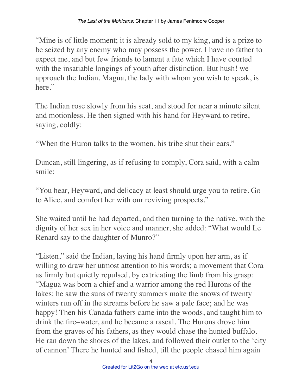"Mine is of little moment; it is already sold to my king, and is a prize to be seized by any enemy who may possess the power. I have no father to expect me, and but few friends to lament a fate which I have courted with the insatiable longings of youth after distinction. But hush! we approach the Indian. Magua, the lady with whom you wish to speak, is here."

The Indian rose slowly from his seat, and stood for near a minute silent and motionless. He then signed with his hand for Heyward to retire, saying, coldly:

"When the Huron talks to the women, his tribe shut their ears."

Duncan, still lingering, as if refusing to comply, Cora said, with a calm smile:

"You hear, Heyward, and delicacy at least should urge you to retire. Go to Alice, and comfort her with our reviving prospects."

She waited until he had departed, and then turning to the native, with the dignity of her sex in her voice and manner, she added: "What would Le Renard say to the daughter of Munro?"

"Listen," said the Indian, laying his hand firmly upon her arm, as if willing to draw her utmost attention to his words; a movement that Cora as firmly but quietly repulsed, by extricating the limb from his grasp: "Magua was born a chief and a warrior among the red Hurons of the lakes; he saw the suns of twenty summers make the snows of twenty winters run off in the streams before he saw a pale face; and he was happy! Then his Canada fathers came into the woods, and taught him to drink the fire–water, and he became a rascal. The Hurons drove him from the graves of his fathers, as they would chase the hunted buffalo. He ran down the shores of the lakes, and followed their outlet to the 'city of cannon' There he hunted and fished, till the people chased him again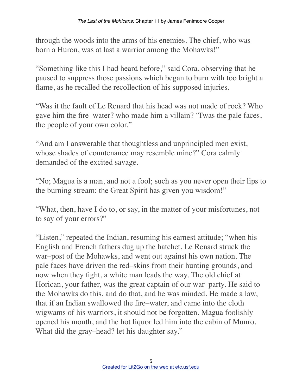through the woods into the arms of his enemies. The chief, who was born a Huron, was at last a warrior among the Mohawks!"

"Something like this I had heard before," said Cora, observing that he paused to suppress those passions which began to burn with too bright a flame, as he recalled the recollection of his supposed injuries.

"Was it the fault of Le Renard that his head was not made of rock? Who gave him the fire–water? who made him a villain? 'Twas the pale faces, the people of your own color."

"And am I answerable that thoughtless and unprincipled men exist, whose shades of countenance may resemble mine?" Cora calmly demanded of the excited savage.

"No; Magua is a man, and not a fool; such as you never open their lips to the burning stream: the Great Spirit has given you wisdom!"

"What, then, have I do to, or say, in the matter of your misfortunes, not to say of your errors?"

"Listen," repeated the Indian, resuming his earnest attitude; "when his English and French fathers dug up the hatchet, Le Renard struck the war–post of the Mohawks, and went out against his own nation. The pale faces have driven the red–skins from their hunting grounds, and now when they fight, a white man leads the way. The old chief at Horican, your father, was the great captain of our war–party. He said to the Mohawks do this, and do that, and he was minded. He made a law, that if an Indian swallowed the fire–water, and came into the cloth wigwams of his warriors, it should not be forgotten. Magua foolishly opened his mouth, and the hot liquor led him into the cabin of Munro. What did the gray–head? let his daughter say."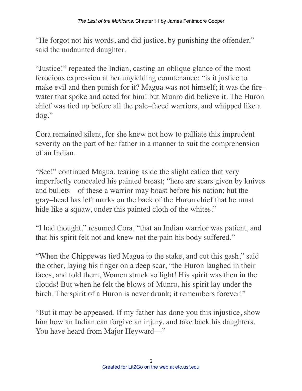"He forgot not his words, and did justice, by punishing the offender," said the undaunted daughter.

"Justice!" repeated the Indian, casting an oblique glance of the most ferocious expression at her unyielding countenance; "is it justice to make evil and then punish for it? Magua was not himself; it was the fire– water that spoke and acted for him! but Munro did believe it. The Huron chief was tied up before all the pale–faced warriors, and whipped like a dog."

Cora remained silent, for she knew not how to palliate this imprudent severity on the part of her father in a manner to suit the comprehension of an Indian.

"See!" continued Magua, tearing aside the slight calico that very imperfectly concealed his painted breast; "here are scars given by knives and bullets––of these a warrior may boast before his nation; but the gray–head has left marks on the back of the Huron chief that he must hide like a squaw, under this painted cloth of the whites."

"I had thought," resumed Cora, "that an Indian warrior was patient, and that his spirit felt not and knew not the pain his body suffered."

"When the Chippewas tied Magua to the stake, and cut this gash," said the other, laying his finger on a deep scar, "the Huron laughed in their faces, and told them, Women struck so light! His spirit was then in the clouds! But when he felt the blows of Munro, his spirit lay under the birch. The spirit of a Huron is never drunk; it remembers forever!"

"But it may be appeased. If my father has done you this injustice, show him how an Indian can forgive an injury, and take back his daughters. You have heard from Major Heyward—"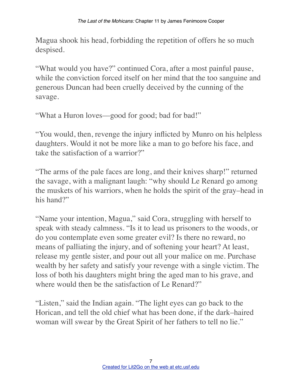Magua shook his head, forbidding the repetition of offers he so much despised.

"What would you have?" continued Cora, after a most painful pause, while the conviction forced itself on her mind that the too sanguine and generous Duncan had been cruelly deceived by the cunning of the savage.

"What a Huron loves––good for good; bad for bad!"

"You would, then, revenge the injury inflicted by Munro on his helpless daughters. Would it not be more like a man to go before his face, and take the satisfaction of a warrior?"

"The arms of the pale faces are long, and their knives sharp!" returned the savage, with a malignant laugh: "why should Le Renard go among the muskets of his warriors, when he holds the spirit of the gray–head in his hand?"

"Name your intention, Magua," said Cora, struggling with herself to speak with steady calmness. "Is it to lead us prisoners to the woods, or do you contemplate even some greater evil? Is there no reward, no means of palliating the injury, and of softening your heart? At least, release my gentle sister, and pour out all your malice on me. Purchase wealth by her safety and satisfy your revenge with a single victim. The loss of both his daughters might bring the aged man to his grave, and where would then be the satisfaction of Le Renard?"

"Listen," said the Indian again. "The light eyes can go back to the Horican, and tell the old chief what has been done, if the dark–haired woman will swear by the Great Spirit of her fathers to tell no lie."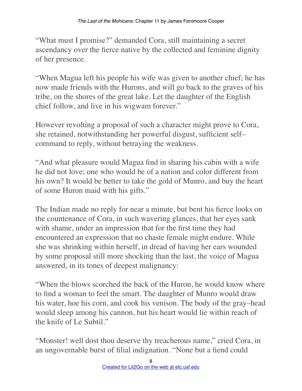"What must I promise?" demanded Cora, still maintaining a secret ascendancy over the fierce native by the collected and feminine dignity of her presence.

"When Magua left his people his wife was given to another chief; he has now made friends with the Hurons, and will go back to the graves of his tribe, on the shores of the great lake. Let the daughter of the English chief follow, and live in his wigwam forever."

However revolting a proposal of such a character might prove to Cora, she retained, notwithstanding her powerful disgust, sufficient self– command to reply, without betraying the weakness.

"And what pleasure would Magua find in sharing his cabin with a wife he did not love; one who would be of a nation and color different from his own? It would be better to take the gold of Munro, and buy the heart of some Huron maid with his gifts."

The Indian made no reply for near a minute, but bent his fierce looks on the countenance of Cora, in such wavering glances, that her eyes sank with shame, under an impression that for the first time they had encountered an expression that no chaste female might endure. While she was shrinking within herself, in dread of having her ears wounded by some proposal still more shocking than the last, the voice of Magua answered, in its tones of deepest malignancy:

"When the blows scorched the back of the Huron, he would know where to find a woman to feel the smart. The daughter of Munro would draw his water, hoe his corn, and cook his venison. The body of the gray–head would sleep among his cannon, but his heart would lie within reach of the knife of Le Subtil."

"Monster! well dost thou deserve thy treacherous name," cried Cora, in an ungovernable burst of filial indignation. "None but a fiend could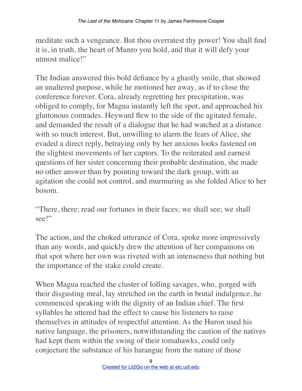meditate such a vengeance. But thou overratest thy power! You shall find it is, in truth, the heart of Munro you hold, and that it will defy your utmost malice!"

The Indian answered this bold defiance by a ghastly smile, that showed an unaltered purpose, while he motioned her away, as if to close the conference forever. Cora, already regretting her precipitation, was obliged to comply, for Magua instantly left the spot, and approached his gluttonous comrades. Heyward flew to the side of the agitated female, and demanded the result of a dialogue that he had watched at a distance with so much interest. But, unwilling to alarm the fears of Alice, she evaded a direct reply, betraying only by her anxious looks fastened on the slightest movements of her captors. To the reiterated and earnest questions of her sister concerning their probable destination, she made no other answer than by pointing toward the dark group, with an agitation she could not control, and murmuring as she folded Alice to her bosom.

"There, there; read our fortunes in their faces; we shall see; we shall see!"

The action, and the choked utterance of Cora, spoke more impressively than any words, and quickly drew the attention of her companions on that spot where her own was riveted with an intenseness that nothing but the importance of the stake could create.

When Magua reached the cluster of lolling savages, who, gorged with their disgusting meal, lay stretched on the earth in brutal indulgence, he commenced speaking with the dignity of an Indian chief. The first syllables he uttered had the effect to cause his listeners to raise themselves in attitudes of respectful attention. As the Huron used his native language, the prisoners, notwithstanding the caution of the natives had kept them within the swing of their tomahawks, could only conjecture the substance of his harangue from the nature of those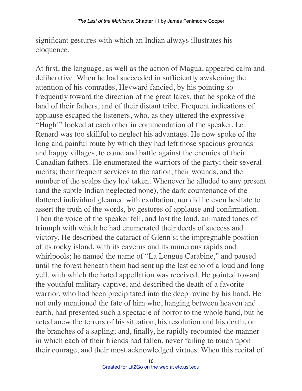significant gestures with which an Indian always illustrates his eloquence.

At first, the language, as well as the action of Magua, appeared calm and deliberative. When he had succeeded in sufficiently awakening the attention of his comrades, Heyward fancied, by his pointing so frequently toward the direction of the great lakes, that he spoke of the land of their fathers, and of their distant tribe. Frequent indications of applause escaped the listeners, who, as they uttered the expressive "Hugh!" looked at each other in commendation of the speaker. Le Renard was too skillful to neglect his advantage. He now spoke of the long and painful route by which they had left those spacious grounds and happy villages, to come and battle against the enemies of their Canadian fathers. He enumerated the warriors of the party; their several merits; their frequent services to the nation; their wounds, and the number of the scalps they had taken. Whenever he alluded to any present (and the subtle Indian neglected none), the dark countenance of the flattered individual gleamed with exultation, nor did he even hesitate to assert the truth of the words, by gestures of applause and confirmation. Then the voice of the speaker fell, and lost the loud, animated tones of triumph with which he had enumerated their deeds of success and victory. He described the cataract of Glenn's; the impregnable position of its rocky island, with its caverns and its numerous rapids and whirlpools; he named the name of "La Longue Carabine," and paused until the forest beneath them had sent up the last echo of a loud and long yell, with which the hated appellation was received. He pointed toward the youthful military captive, and described the death of a favorite warrior, who had been precipitated into the deep ravine by his hand. He not only mentioned the fate of him who, hanging between heaven and earth, had presented such a spectacle of horror to the whole band, but he acted anew the terrors of his situation, his resolution and his death, on the branches of a sapling; and, finally, he rapidly recounted the manner in which each of their friends had fallen, never failing to touch upon their courage, and their most acknowledged virtues. When this recital of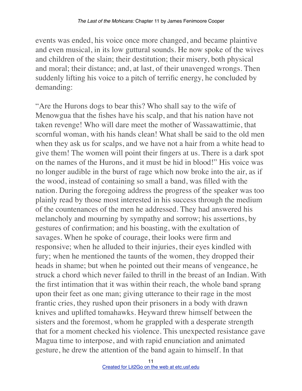events was ended, his voice once more changed, and became plaintive and even musical, in its low guttural sounds. He now spoke of the wives and children of the slain; their destitution; their misery, both physical and moral; their distance; and, at last, of their unavenged wrongs. Then suddenly lifting his voice to a pitch of terrific energy, he concluded by demanding:

"Are the Hurons dogs to bear this? Who shall say to the wife of Menowgua that the fishes have his scalp, and that his nation have not taken revenge! Who will dare meet the mother of Wassawattimie, that scornful woman, with his hands clean! What shall be said to the old men when they ask us for scalps, and we have not a hair from a white head to give them! The women will point their fingers at us. There is a dark spot on the names of the Hurons, and it must be hid in blood!" His voice was no longer audible in the burst of rage which now broke into the air, as if the wood, instead of containing so small a band, was filled with the nation. During the foregoing address the progress of the speaker was too plainly read by those most interested in his success through the medium of the countenances of the men he addressed. They had answered his melancholy and mourning by sympathy and sorrow; his assertions, by gestures of confirmation; and his boasting, with the exultation of savages. When he spoke of courage, their looks were firm and responsive; when he alluded to their injuries, their eyes kindled with fury; when he mentioned the taunts of the women, they dropped their heads in shame; but when he pointed out their means of vengeance, he struck a chord which never failed to thrill in the breast of an Indian. With the first intimation that it was within their reach, the whole band sprang upon their feet as one man; giving utterance to their rage in the most frantic cries, they rushed upon their prisoners in a body with drawn knives and uplifted tomahawks. Heyward threw himself between the sisters and the foremost, whom he grappled with a desperate strength that for a moment checked his violence. This unexpected resistance gave Magua time to interpose, and with rapid enunciation and animated gesture, he drew the attention of the band again to himself. In that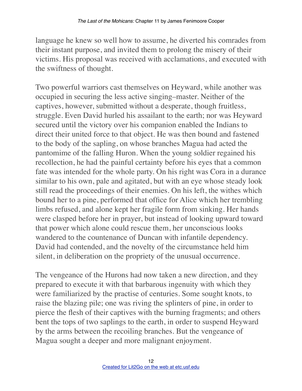language he knew so well how to assume, he diverted his comrades from their instant purpose, and invited them to prolong the misery of their victims. His proposal was received with acclamations, and executed with the swiftness of thought.

Two powerful warriors cast themselves on Heyward, while another was occupied in securing the less active singing–master. Neither of the captives, however, submitted without a desperate, though fruitless, struggle. Even David hurled his assailant to the earth; nor was Heyward secured until the victory over his companion enabled the Indians to direct their united force to that object. He was then bound and fastened to the body of the sapling, on whose branches Magua had acted the pantomime of the falling Huron. When the young soldier regained his recollection, he had the painful certainty before his eyes that a common fate was intended for the whole party. On his right was Cora in a durance similar to his own, pale and agitated, but with an eye whose steady look still read the proceedings of their enemies. On his left, the withes which bound her to a pine, performed that office for Alice which her trembling limbs refused, and alone kept her fragile form from sinking. Her hands were clasped before her in prayer, but instead of looking upward toward that power which alone could rescue them, her unconscious looks wandered to the countenance of Duncan with infantile dependency. David had contended, and the novelty of the circumstance held him silent, in deliberation on the propriety of the unusual occurrence.

The vengeance of the Hurons had now taken a new direction, and they prepared to execute it with that barbarous ingenuity with which they were familiarized by the practise of centuries. Some sought knots, to raise the blazing pile; one was riving the splinters of pine, in order to pierce the flesh of their captives with the burning fragments; and others bent the tops of two saplings to the earth, in order to suspend Heyward by the arms between the recoiling branches. But the vengeance of Magua sought a deeper and more malignant enjoyment.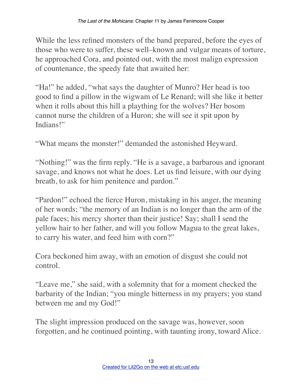While the less refined monsters of the band prepared, before the eyes of those who were to suffer, these well–known and vulgar means of torture, he approached Cora, and pointed out, with the most malign expression of countenance, the speedy fate that awaited her:

"Ha!" he added, "what says the daughter of Munro? Her head is too good to find a pillow in the wigwam of Le Renard; will she like it better when it rolls about this hill a plaything for the wolves? Her bosom cannot nurse the children of a Huron; she will see it spit upon by Indians!"

"What means the monster!" demanded the astonished Heyward.

"Nothing!" was the firm reply. "He is a savage, a barbarous and ignorant savage, and knows not what he does. Let us find leisure, with our dying breath, to ask for him penitence and pardon."

"Pardon!" echoed the fierce Huron, mistaking in his anger, the meaning of her words; "the memory of an Indian is no longer than the arm of the pale faces; his mercy shorter than their justice! Say; shall I send the yellow hair to her father, and will you follow Magua to the great lakes, to carry his water, and feed him with corn?"

Cora beckoned him away, with an emotion of disgust she could not control.

"Leave me," she said, with a solemnity that for a moment checked the barbarity of the Indian; "you mingle bitterness in my prayers; you stand between me and my God!"

The slight impression produced on the savage was, however, soon forgotten, and he continued pointing, with taunting irony, toward Alice.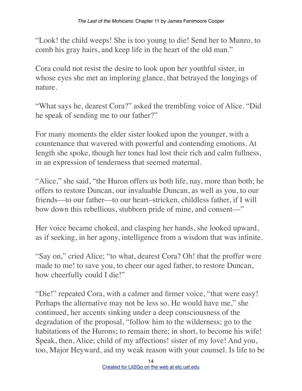"Look! the child weeps! She is too young to die! Send her to Munro, to comb his gray hairs, and keep life in the heart of the old man."

Cora could not resist the desire to look upon her youthful sister, in whose eyes she met an imploring glance, that betrayed the longings of nature.

"What says he, dearest Cora?" asked the trembling voice of Alice. "Did he speak of sending me to our father?"

For many moments the elder sister looked upon the younger, with a countenance that wavered with powerful and contending emotions. At length she spoke, though her tones had lost their rich and calm fullness, in an expression of tenderness that seemed maternal.

"Alice," she said, "the Huron offers us both life, nay, more than both; he offers to restore Duncan, our invaluable Duncan, as well as you, to our friends––to our father––to our heart–stricken, childless father, if I will bow down this rebellious, stubborn pride of mine, and consent—"

Her voice became choked, and clasping her hands, she looked upward, as if seeking, in her agony, intelligence from a wisdom that was infinite.

"Say on," cried Alice; "to what, dearest Cora? Oh! that the proffer were made to me! to save you, to cheer our aged father, to restore Duncan, how cheerfully could I die!"

"Die!" repeated Cora, with a calmer and firmer voice, "that were easy! Perhaps the alternative may not be less so. He would have me," she continued, her accents sinking under a deep consciousness of the degradation of the proposal, "follow him to the wilderness; go to the habitations of the Hurons; to remain there; in short, to become his wife! Speak, then, Alice; child of my affections! sister of my love! And you, too, Major Heyward, aid my weak reason with your counsel. Is life to be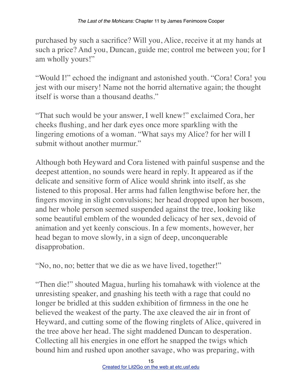purchased by such a sacrifice? Will you, Alice, receive it at my hands at such a price? And you, Duncan, guide me; control me between you; for I am wholly yours!"

"Would I!" echoed the indignant and astonished youth. "Cora! Cora! you jest with our misery! Name not the horrid alternative again; the thought itself is worse than a thousand deaths."

"That such would be your answer, I well knew!" exclaimed Cora, her cheeks flushing, and her dark eyes once more sparkling with the lingering emotions of a woman. "What says my Alice? for her will I submit without another murmur."

Although both Heyward and Cora listened with painful suspense and the deepest attention, no sounds were heard in reply. It appeared as if the delicate and sensitive form of Alice would shrink into itself, as she listened to this proposal. Her arms had fallen lengthwise before her, the fingers moving in slight convulsions; her head dropped upon her bosom, and her whole person seemed suspended against the tree, looking like some beautiful emblem of the wounded delicacy of her sex, devoid of animation and yet keenly conscious. In a few moments, however, her head began to move slowly, in a sign of deep, unconquerable disapprobation.

"No, no, no; better that we die as we have lived, together!"

"Then die!" shouted Magua, hurling his tomahawk with violence at the unresisting speaker, and gnashing his teeth with a rage that could no longer be bridled at this sudden exhibition of firmness in the one he believed the weakest of the party. The axe cleaved the air in front of Heyward, and cutting some of the flowing ringlets of Alice, quivered in the tree above her head. The sight maddened Duncan to desperation. Collecting all his energies in one effort he snapped the twigs which bound him and rushed upon another savage, who was preparing, with